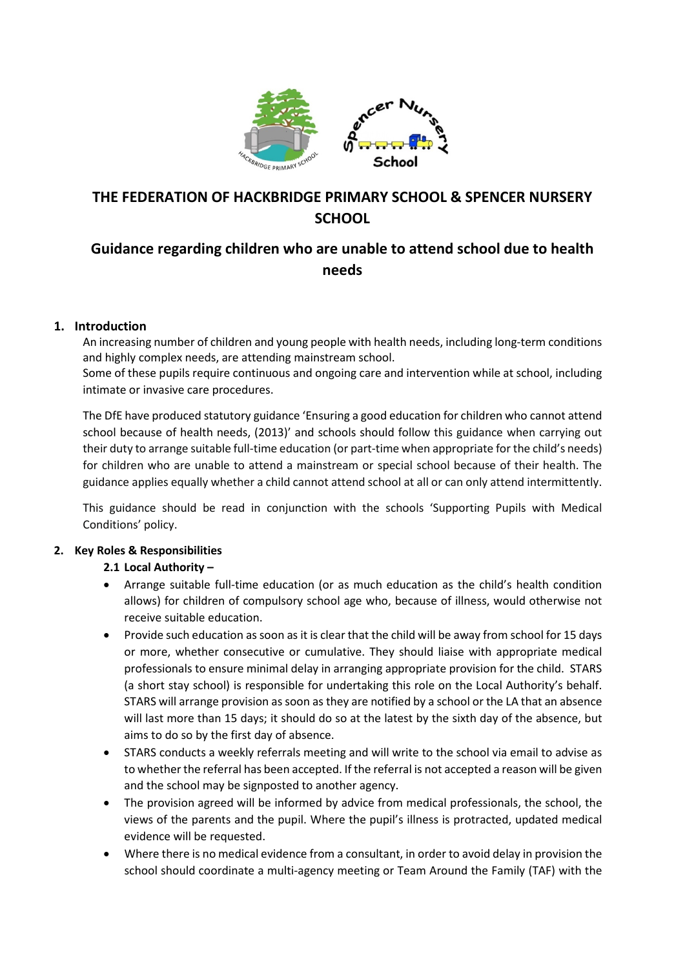

# **THE FEDERATION OF HACKBRIDGE PRIMARY SCHOOL & SPENCER NURSERY SCHOOL**

# **Guidance regarding children who are unable to attend school due to health needs**

# **1. Introduction**

An increasing number of children and young people with health needs, including long-term conditions and highly complex needs, are attending mainstream school.

Some of these pupils require continuous and ongoing care and intervention while at school, including intimate or invasive care procedures.

The DfE have produced statutory guidance 'Ensuring a good education for children who cannot attend school because of health needs, (2013)' and schools should follow this guidance when carrying out their duty to arrange suitable full-time education (or part-time when appropriate for the child's needs) for children who are unable to attend a mainstream or special school because of their health. The guidance applies equally whether a child cannot attend school at all or can only attend intermittently.

This guidance should be read in conjunction with the schools 'Supporting Pupils with Medical Conditions' policy.

## **2. Key Roles & Responsibilities**

# **2.1 Local Authority –**

- Arrange suitable full-time education (or as much education as the child's health condition allows) for children of compulsory school age who, because of illness, would otherwise not receive suitable education.
- Provide such education as soon as it is clear that the child will be away from school for 15 days or more, whether consecutive or cumulative. They should liaise with appropriate medical professionals to ensure minimal delay in arranging appropriate provision for the child. STARS (a short stay school) is responsible for undertaking this role on the Local Authority's behalf. STARS will arrange provision as soon as they are notified by a school or the LA that an absence will last more than 15 days; it should do so at the latest by the sixth day of the absence, but aims to do so by the first day of absence.
- STARS conducts a weekly referrals meeting and will write to the school via email to advise as to whether the referral has been accepted. If the referral is not accepted a reason will be given and the school may be signposted to another agency.
- The provision agreed will be informed by advice from medical professionals, the school, the views of the parents and the pupil. Where the pupil's illness is protracted, updated medical evidence will be requested.
- Where there is no medical evidence from a consultant, in order to avoid delay in provision the school should coordinate a multi-agency meeting or Team Around the Family (TAF) with the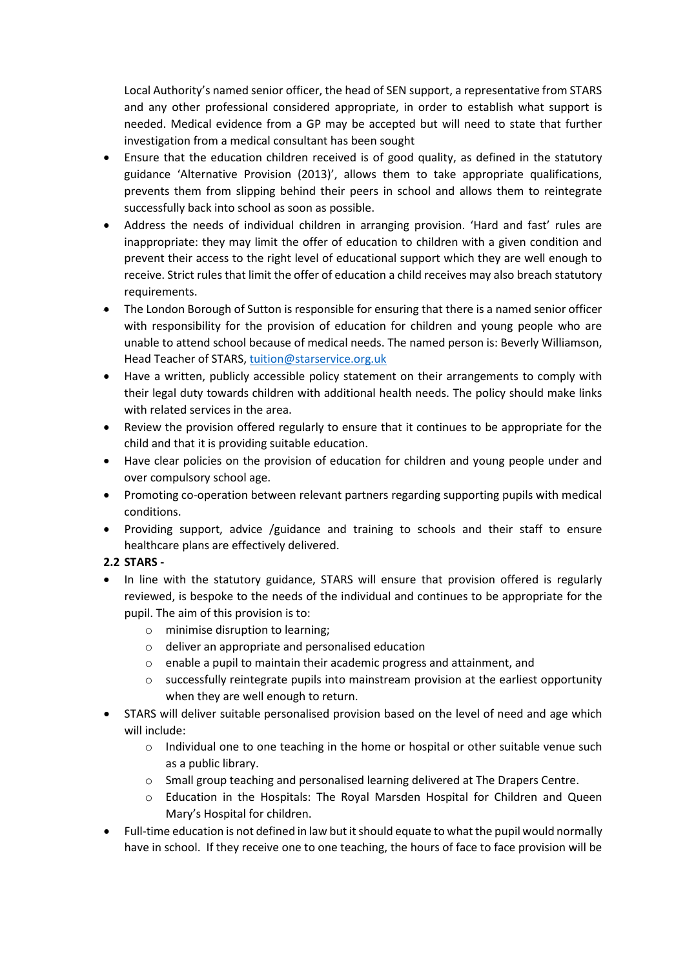Local Authority's named senior officer, the head of SEN support, a representative from STARS and any other professional considered appropriate, in order to establish what support is needed. Medical evidence from a GP may be accepted but will need to state that further investigation from a medical consultant has been sought

- Ensure that the education children received is of good quality, as defined in the statutory guidance 'Alternative Provision (2013)', allows them to take appropriate qualifications, prevents them from slipping behind their peers in school and allows them to reintegrate successfully back into school as soon as possible.
- Address the needs of individual children in arranging provision. 'Hard and fast' rules are inappropriate: they may limit the offer of education to children with a given condition and prevent their access to the right level of educational support which they are well enough to receive. Strict rules that limit the offer of education a child receives may also breach statutory requirements.
- The London Borough of Sutton is responsible for ensuring that there is a named senior officer with responsibility for the provision of education for children and young people who are unable to attend school because of medical needs. The named person is: Beverly Williamson, Head Teacher of STARS, [tuition@starservice.org.uk](mailto:tuition@starservice.org.uk)
- Have a written, publicly accessible policy statement on their arrangements to comply with their legal duty towards children with additional health needs. The policy should make links with related services in the area.
- Review the provision offered regularly to ensure that it continues to be appropriate for the child and that it is providing suitable education.
- Have clear policies on the provision of education for children and young people under and over compulsory school age.
- Promoting co-operation between relevant partners regarding supporting pupils with medical conditions.
- Providing support, advice /guidance and training to schools and their staff to ensure healthcare plans are effectively delivered.

## **2.2 STARS -**

- In line with the statutory guidance, STARS will ensure that provision offered is regularly reviewed, is bespoke to the needs of the individual and continues to be appropriate for the pupil. The aim of this provision is to:
	- o minimise disruption to learning;
	- o deliver an appropriate and personalised education
	- o enable a pupil to maintain their academic progress and attainment, and
	- o successfully reintegrate pupils into mainstream provision at the earliest opportunity when they are well enough to return.
- STARS will deliver suitable personalised provision based on the level of need and age which will include:
	- $\circ$  Individual one to one teaching in the home or hospital or other suitable venue such as a public library.
	- o Small group teaching and personalised learning delivered at The Drapers Centre.
	- o Education in the Hospitals: The Royal Marsden Hospital for Children and Queen Mary's Hospital for children.
- Full-time education is not defined in law but it should equate to what the pupil would normally have in school. If they receive one to one teaching, the hours of face to face provision will be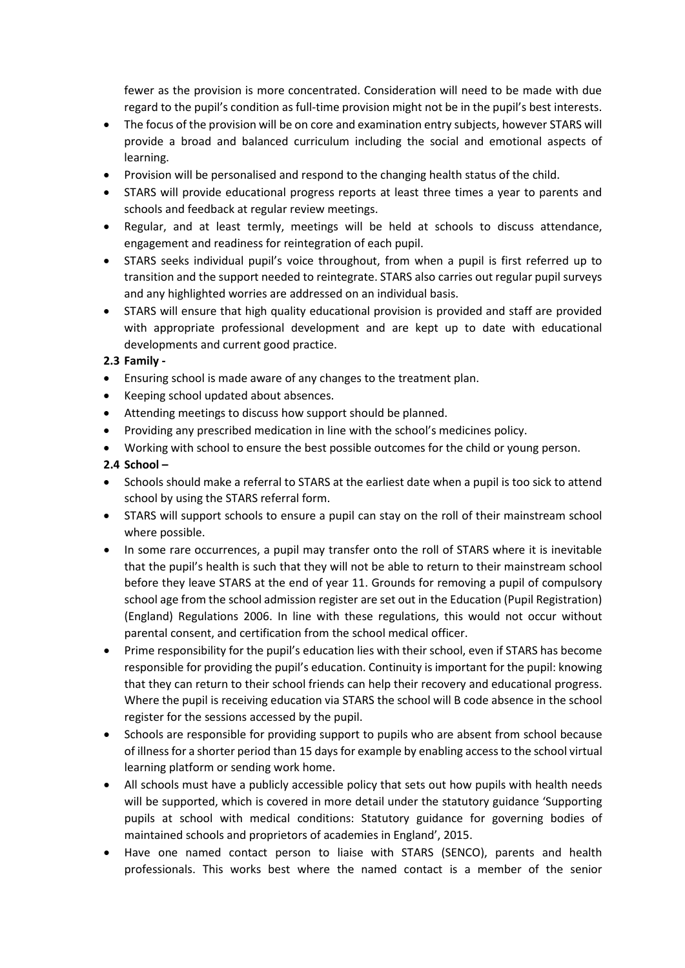fewer as the provision is more concentrated. Consideration will need to be made with due regard to the pupil's condition as full-time provision might not be in the pupil's best interests.

- The focus of the provision will be on core and examination entry subjects, however STARS will provide a broad and balanced curriculum including the social and emotional aspects of learning.
- Provision will be personalised and respond to the changing health status of the child.
- STARS will provide educational progress reports at least three times a year to parents and schools and feedback at regular review meetings.
- Regular, and at least termly, meetings will be held at schools to discuss attendance, engagement and readiness for reintegration of each pupil.
- STARS seeks individual pupil's voice throughout, from when a pupil is first referred up to transition and the support needed to reintegrate. STARS also carries out regular pupil surveys and any highlighted worries are addressed on an individual basis.
- STARS will ensure that high quality educational provision is provided and staff are provided with appropriate professional development and are kept up to date with educational developments and current good practice.

## **2.3 Family -**

- Ensuring school is made aware of any changes to the treatment plan.
- Keeping school updated about absences.
- Attending meetings to discuss how support should be planned.
- Providing any prescribed medication in line with the school's medicines policy.
- Working with school to ensure the best possible outcomes for the child or young person.

## **2.4 School –**

- Schools should make a referral to STARS at the earliest date when a pupil is too sick to attend school by using the STARS referral form.
- STARS will support schools to ensure a pupil can stay on the roll of their mainstream school where possible.
- In some rare occurrences, a pupil may transfer onto the roll of STARS where it is inevitable that the pupil's health is such that they will not be able to return to their mainstream school before they leave STARS at the end of year 11. Grounds for removing a pupil of compulsory school age from the school admission register are set out in the Education (Pupil Registration) (England) Regulations 2006. In line with these regulations, this would not occur without parental consent, and certification from the school medical officer.
- Prime responsibility for the pupil's education lies with their school, even if STARS has become responsible for providing the pupil's education. Continuity is important for the pupil: knowing that they can return to their school friends can help their recovery and educational progress. Where the pupil is receiving education via STARS the school will B code absence in the school register for the sessions accessed by the pupil.
- Schools are responsible for providing support to pupils who are absent from school because of illness for a shorter period than 15 days for example by enabling access to the school virtual learning platform or sending work home.
- All schools must have a publicly accessible policy that sets out how pupils with health needs will be supported, which is covered in more detail under the statutory guidance 'Supporting pupils at school with medical conditions: Statutory guidance for governing bodies of maintained schools and proprietors of academies in England', 2015.
- Have one named contact person to liaise with STARS (SENCO), parents and health professionals. This works best where the named contact is a member of the senior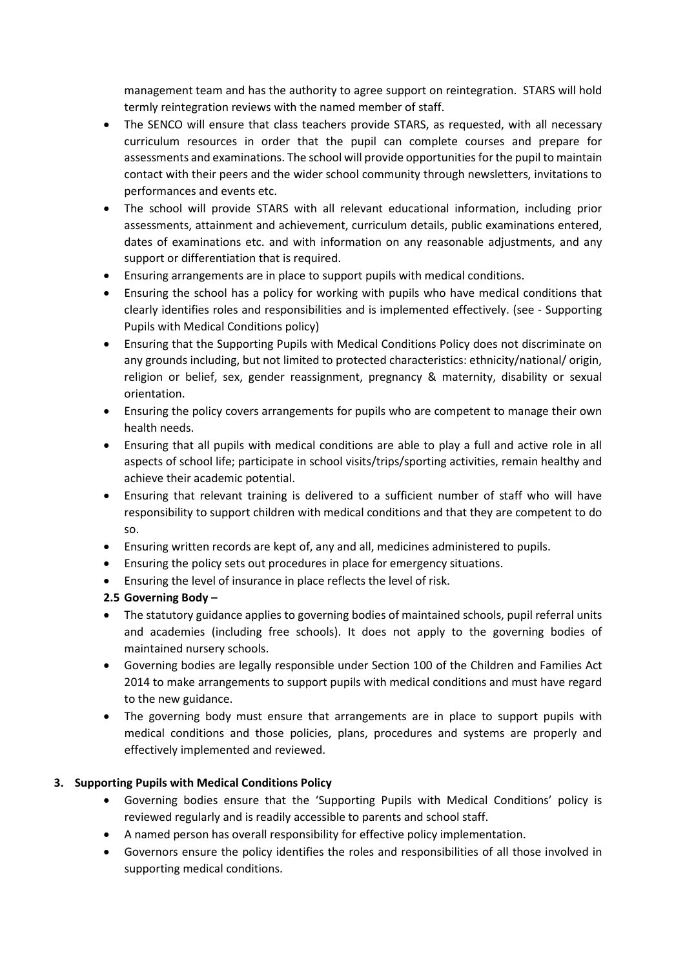management team and has the authority to agree support on reintegration. STARS will hold termly reintegration reviews with the named member of staff.

- The SENCO will ensure that class teachers provide STARS, as requested, with all necessary curriculum resources in order that the pupil can complete courses and prepare for assessments and examinations. The school will provide opportunities for the pupil to maintain contact with their peers and the wider school community through newsletters, invitations to performances and events etc.
- The school will provide STARS with all relevant educational information, including prior assessments, attainment and achievement, curriculum details, public examinations entered, dates of examinations etc. and with information on any reasonable adjustments, and any support or differentiation that is required.
- Ensuring arrangements are in place to support pupils with medical conditions.
- Ensuring the school has a policy for working with pupils who have medical conditions that clearly identifies roles and responsibilities and is implemented effectively. (see - Supporting Pupils with Medical Conditions policy)
- Ensuring that the Supporting Pupils with Medical Conditions Policy does not discriminate on any grounds including, but not limited to protected characteristics: ethnicity/national/ origin, religion or belief, sex, gender reassignment, pregnancy & maternity, disability or sexual orientation.
- Ensuring the policy covers arrangements for pupils who are competent to manage their own health needs.
- Ensuring that all pupils with medical conditions are able to play a full and active role in all aspects of school life; participate in school visits/trips/sporting activities, remain healthy and achieve their academic potential.
- Ensuring that relevant training is delivered to a sufficient number of staff who will have responsibility to support children with medical conditions and that they are competent to do so.
- Ensuring written records are kept of, any and all, medicines administered to pupils.
- Ensuring the policy sets out procedures in place for emergency situations.
- Ensuring the level of insurance in place reflects the level of risk.
- **2.5 Governing Body –**
- The statutory guidance applies to governing bodies of maintained schools, pupil referral units and academies (including free schools). It does not apply to the governing bodies of maintained nursery schools.
- Governing bodies are legally responsible under Section 100 of the Children and Families Act 2014 to make arrangements to support pupils with medical conditions and must have regard to the new guidance.
- The governing body must ensure that arrangements are in place to support pupils with medical conditions and those policies, plans, procedures and systems are properly and effectively implemented and reviewed.

## **3. Supporting Pupils with Medical Conditions Policy**

- Governing bodies ensure that the 'Supporting Pupils with Medical Conditions' policy is reviewed regularly and is readily accessible to parents and school staff.
- A named person has overall responsibility for effective policy implementation.
- Governors ensure the policy identifies the roles and responsibilities of all those involved in supporting medical conditions.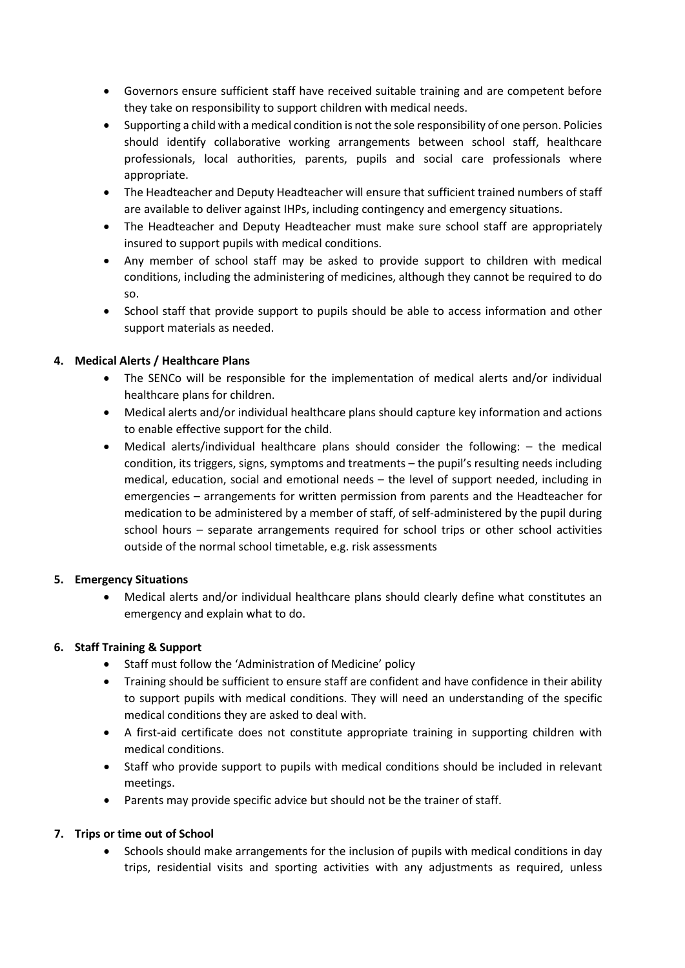- Governors ensure sufficient staff have received suitable training and are competent before they take on responsibility to support children with medical needs.
- Supporting a child with a medical condition is not the sole responsibility of one person. Policies should identify collaborative working arrangements between school staff, healthcare professionals, local authorities, parents, pupils and social care professionals where appropriate.
- The Headteacher and Deputy Headteacher will ensure that sufficient trained numbers of staff are available to deliver against IHPs, including contingency and emergency situations.
- The Headteacher and Deputy Headteacher must make sure school staff are appropriately insured to support pupils with medical conditions.
- Any member of school staff may be asked to provide support to children with medical conditions, including the administering of medicines, although they cannot be required to do so.
- School staff that provide support to pupils should be able to access information and other support materials as needed.

# **4. Medical Alerts / Healthcare Plans**

- The SENCo will be responsible for the implementation of medical alerts and/or individual healthcare plans for children.
- Medical alerts and/or individual healthcare plans should capture key information and actions to enable effective support for the child.
- Medical alerts/individual healthcare plans should consider the following: the medical condition, its triggers, signs, symptoms and treatments – the pupil's resulting needs including medical, education, social and emotional needs – the level of support needed, including in emergencies – arrangements for written permission from parents and the Headteacher for medication to be administered by a member of staff, of self-administered by the pupil during school hours – separate arrangements required for school trips or other school activities outside of the normal school timetable, e.g. risk assessments

## **5. Emergency Situations**

• Medical alerts and/or individual healthcare plans should clearly define what constitutes an emergency and explain what to do.

## **6. Staff Training & Support**

- Staff must follow the 'Administration of Medicine' policy
- Training should be sufficient to ensure staff are confident and have confidence in their ability to support pupils with medical conditions. They will need an understanding of the specific medical conditions they are asked to deal with.
- A first-aid certificate does not constitute appropriate training in supporting children with medical conditions.
- Staff who provide support to pupils with medical conditions should be included in relevant meetings.
- Parents may provide specific advice but should not be the trainer of staff.

## **7. Trips or time out of School**

• Schools should make arrangements for the inclusion of pupils with medical conditions in day trips, residential visits and sporting activities with any adjustments as required, unless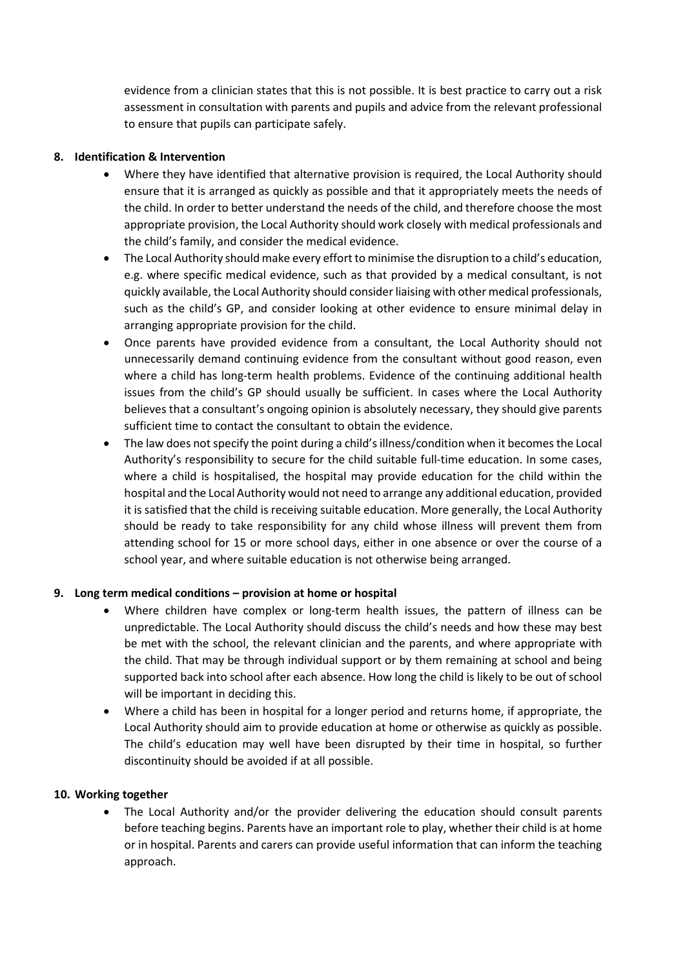evidence from a clinician states that this is not possible. It is best practice to carry out a risk assessment in consultation with parents and pupils and advice from the relevant professional to ensure that pupils can participate safely.

#### **8. Identification & Intervention**

- Where they have identified that alternative provision is required, the Local Authority should ensure that it is arranged as quickly as possible and that it appropriately meets the needs of the child. In order to better understand the needs of the child, and therefore choose the most appropriate provision, the Local Authority should work closely with medical professionals and the child's family, and consider the medical evidence.
- The Local Authority should make every effort to minimise the disruption to a child's education, e.g. where specific medical evidence, such as that provided by a medical consultant, is not quickly available, the Local Authority should consider liaising with other medical professionals, such as the child's GP, and consider looking at other evidence to ensure minimal delay in arranging appropriate provision for the child.
- Once parents have provided evidence from a consultant, the Local Authority should not unnecessarily demand continuing evidence from the consultant without good reason, even where a child has long-term health problems. Evidence of the continuing additional health issues from the child's GP should usually be sufficient. In cases where the Local Authority believes that a consultant's ongoing opinion is absolutely necessary, they should give parents sufficient time to contact the consultant to obtain the evidence.
- The law does not specify the point during a child's illness/condition when it becomes the Local Authority's responsibility to secure for the child suitable full-time education. In some cases, where a child is hospitalised, the hospital may provide education for the child within the hospital and the Local Authority would not need to arrange any additional education, provided it is satisfied that the child is receiving suitable education. More generally, the Local Authority should be ready to take responsibility for any child whose illness will prevent them from attending school for 15 or more school days, either in one absence or over the course of a school year, and where suitable education is not otherwise being arranged.

## **9. Long term medical conditions – provision at home or hospital**

- Where children have complex or long-term health issues, the pattern of illness can be unpredictable. The Local Authority should discuss the child's needs and how these may best be met with the school, the relevant clinician and the parents, and where appropriate with the child. That may be through individual support or by them remaining at school and being supported back into school after each absence. How long the child is likely to be out of school will be important in deciding this.
- Where a child has been in hospital for a longer period and returns home, if appropriate, the Local Authority should aim to provide education at home or otherwise as quickly as possible. The child's education may well have been disrupted by their time in hospital, so further discontinuity should be avoided if at all possible.

#### **10. Working together**

The Local Authority and/or the provider delivering the education should consult parents before teaching begins. Parents have an important role to play, whether their child is at home or in hospital. Parents and carers can provide useful information that can inform the teaching approach.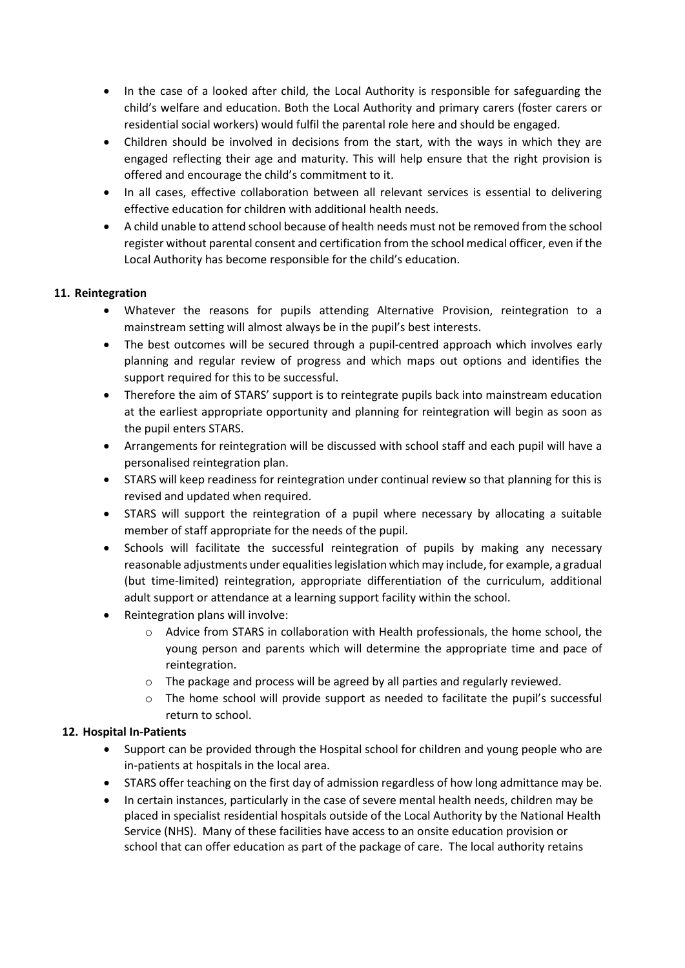- In the case of a looked after child, the Local Authority is responsible for safeguarding the child's welfare and education. Both the Local Authority and primary carers (foster carers or residential social workers) would fulfil the parental role here and should be engaged.
- Children should be involved in decisions from the start, with the ways in which they are engaged reflecting their age and maturity. This will help ensure that the right provision is offered and encourage the child's commitment to it.
- In all cases, effective collaboration between all relevant services is essential to delivering effective education for children with additional health needs.
- A child unable to attend school because of health needs must not be removed from the school register without parental consent and certification from the school medical officer, even if the Local Authority has become responsible for the child's education.

# **11. Reintegration**

- Whatever the reasons for pupils attending Alternative Provision, reintegration to a mainstream setting will almost always be in the pupil's best interests.
- The best outcomes will be secured through a pupil-centred approach which involves early planning and regular review of progress and which maps out options and identifies the support required for this to be successful.
- Therefore the aim of STARS' support is to reintegrate pupils back into mainstream education at the earliest appropriate opportunity and planning for reintegration will begin as soon as the pupil enters STARS.
- Arrangements for reintegration will be discussed with school staff and each pupil will have a personalised reintegration plan.
- STARS will keep readiness for reintegration under continual review so that planning for this is revised and updated when required.
- STARS will support the reintegration of a pupil where necessary by allocating a suitable member of staff appropriate for the needs of the pupil.
- Schools will facilitate the successful reintegration of pupils by making any necessary reasonable adjustments under equalities legislation which may include, for example, a gradual (but time-limited) reintegration, appropriate differentiation of the curriculum, additional adult support or attendance at a learning support facility within the school.
- Reintegration plans will involve:
	- o Advice from STARS in collaboration with Health professionals, the home school, the young person and parents which will determine the appropriate time and pace of reintegration.
	- o The package and process will be agreed by all parties and regularly reviewed.
	- $\circ$  The home school will provide support as needed to facilitate the pupil's successful return to school.

## **12. Hospital In-Patients**

- Support can be provided through the Hospital school for children and young people who are in-patients at hospitals in the local area.
- STARS offer teaching on the first day of admission regardless of how long admittance may be.
- In certain instances, particularly in the case of severe mental health needs, children may be placed in specialist residential hospitals outside of the Local Authority by the National Health Service (NHS). Many of these facilities have access to an onsite education provision or school that can offer education as part of the package of care. The local authority retains